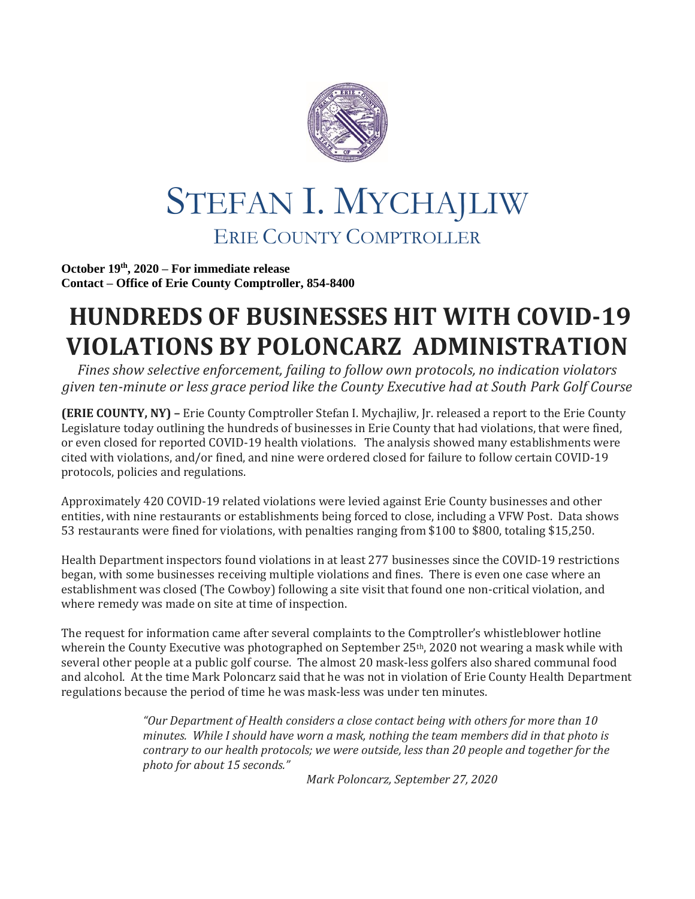

## STEFAN I. MYCHAJLIW ERIE COUNTY COMPTROLLER

**October 19 th, 2020 – For immediate release Contact – Office of Erie County Comptroller, 854-8400**

## **HUNDREDS OF BUSINESSES HIT WITH COVID-19 VIOLATIONS BY POLONCARZ ADMINISTRATION**

*Fines show selective enforcement, failing to follow own protocols, no indication violators given ten-minute or less grace period like the County Executive had at South Park Golf Course*

**(ERIE COUNTY, NY) –** Erie County Comptroller Stefan I. Mychajliw, Jr. released a report to the Erie County Legislature today outlining the hundreds of businesses in Erie County that had violations, that were fined, or even closed for reported COVID-19 health violations. The analysis showed many establishments were cited with violations, and/or fined, and nine were ordered closed for failure to follow certain COVID-19 protocols, policies and regulations.

Approximately 420 COVID-19 related violations were levied against Erie County businesses and other entities, with nine restaurants or establishments being forced to close, including a VFW Post. Data shows 53 restaurants were fined for violations, with penalties ranging from \$100 to \$800, totaling \$15,250.

Health Department inspectors found violations in at least 277 businesses since the COVID-19 restrictions began, with some businesses receiving multiple violations and fines. There is even one case where an establishment was closed (The Cowboy) following a site visit that found one non-critical violation, and where remedy was made on site at time of inspection.

The request for information came after several complaints to the Comptroller's whistleblower hotline wherein the County Executive was photographed on September 25<sup>th</sup>, 2020 not wearing a mask while with several other people at a public golf course. The almost 20 mask-less golfers also shared communal food and alcohol. At the time Mark Poloncarz said that he was not in violation of Erie County Health Department regulations because the period of time he was mask-less was under ten minutes.

> *"Our Department of Health considers a close contact being with others for more than 10 minutes. While I should have worn a mask, nothing the team members did in that photo is contrary to our health protocols; we were outside, less than 20 people and together for the photo for about 15 seconds."*

*Mark Poloncarz, September 27, 2020*